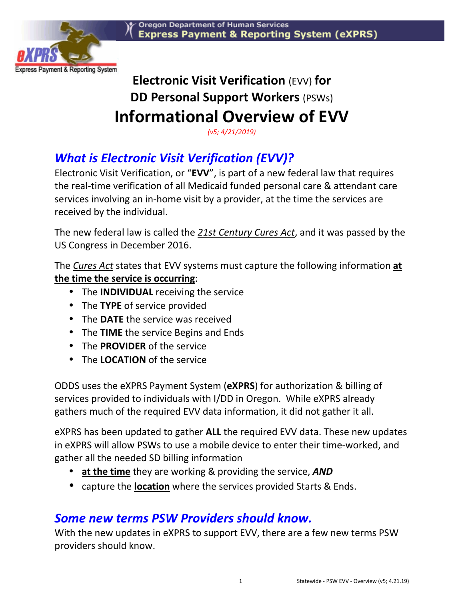

# **Electronic Visit Verification** (EVV) **for DD Personal Support Workers** (PSWs) **Informational Overview of EVV**

*(v5; 4/21/2019)* 

## *What is Electronic Visit Verification (EVV)?*

Electronic Visit Verification, or "**EVV**", is part of a new federal law that requires the real-time verification of all Medicaid funded personal care & attendant care services involving an in-home visit by a provider, at the time the services are received by the individual.

The new federal law is called the *21st Century Cures Act*, and it was passed by the US Congress in December 2016.

The *Cures Act* states that EVV systems must capture the following information **at the time the service is occurring**:

- The **INDIVIDUAL** receiving the service
- The **TYPE** of service provided
- The **DATE** the service was received
- The **TIME** the service Begins and Ends
- The **PROVIDER** of the service
- The **LOCATION** of the service

ODDS uses the eXPRS Payment System (**eXPRS**) for authorization & billing of services provided to individuals with I/DD in Oregon. While eXPRS already gathers much of the required EVV data information, it did not gather it all.

eXPRS has been updated to gather **ALL** the required EVV data. These new updates in eXPRS will allow PSWs to use a mobile device to enter their time-worked, and gather all the needed SD billing information

- **at the time** they are working & providing the service, *AND*
- capture the **location** where the services provided Starts & Ends.

## *Some new terms PSW Providers should know.*

With the new updates in eXPRS to support EVV, there are a few new terms PSW providers should know.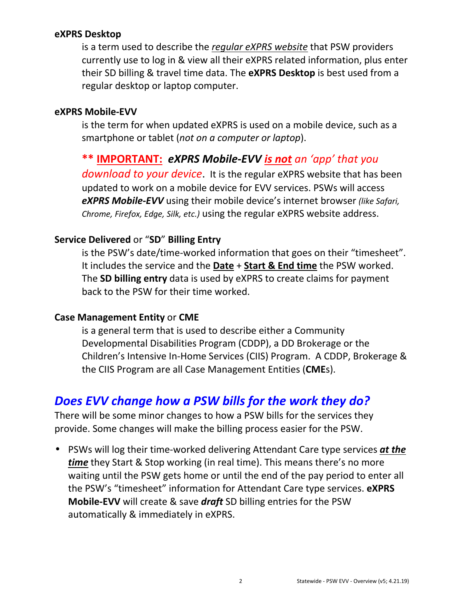#### **eXPRS Desktop**

is a term used to describe the *regular eXPRS website* that PSW providers currently use to log in & view all their eXPRS related information, plus enter their SD billing & travel time data. The **eXPRS Desktop** is best used from a regular desktop or laptop computer.

#### **eXPRS Mobile-EVV**

is the term for when updated eXPRS is used on a mobile device, such as a smartphone or tablet (*not on a computer or laptop*).

#### **\*\* IMPORTANT:** *eXPRS Mobile-EVV is not an 'app' that you*

*download to your device*. It is the regular eXPRS website that has been updated to work on a mobile device for EVV services. PSWs will access *eXPRS Mobile-EVV* using their mobile device's internet browser *(like Safari, Chrome, Firefox, Edge, Silk, etc.)* using the regular eXPRS website address.

#### **Service Delivered** or "**SD**" **Billing Entry**

is the PSW's date/time-worked information that goes on their "timesheet". It includes the service and the **Date** + **Start & End time** the PSW worked. The **SD billing entry** data is used by eXPRS to create claims for payment back to the PSW for their time worked.

#### **Case Management Entity** or **CME**

is a general term that is used to describe either a Community Developmental Disabilities Program (CDDP), a DD Brokerage or the Children's Intensive In-Home Services (CIIS) Program. A CDDP, Brokerage & the CIIS Program are all Case Management Entities (**CME**s).

### *Does EVV change how a PSW bills for the work they do?*

There will be some minor changes to how a PSW bills for the services they provide. Some changes will make the billing process easier for the PSW.

• PSWs will log their time-worked delivering Attendant Care type services *at the time* they Start & Stop working (in real time). This means there's no more waiting until the PSW gets home or until the end of the pay period to enter all the PSW's "timesheet" information for Attendant Care type services. **eXPRS Mobile-EVV** will create & save *draft* SD billing entries for the PSW automatically & immediately in eXPRS.